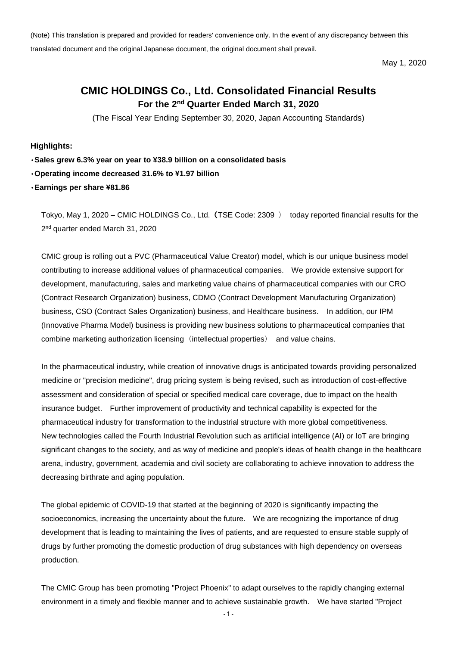(Note) This translation is prepared and provided for readers' convenience only. In the event of any discrepancy between this translated document and the original Japanese document, the original document shall prevail.

May 1, 2020

# **CMIC HOLDINGS Co., Ltd. Consolidated Financial Results For the 2 nd Quarter Ended March 31, 2020**

(The Fiscal Year Ending September 30, 2020, Japan Accounting Standards)

**Highlights:**

**Sales grew 6.3% year on year to ¥38.9 billion on a consolidated basis**

**Operating income decreased 31.6% to ¥1.97 billion**

**Earnings per share ¥81.86**

Tokyo, May 1, 2020 – CMIC HOLDINGS Co., Ltd. (TSE Code: 2309 ) today reported financial results for the 2<sup>nd</sup> quarter ended March 31, 2020

CMIC group is rolling out a PVC (Pharmaceutical Value Creator) model, which is our unique business model contributing to increase additional values of pharmaceutical companies. We provide extensive support for development, manufacturing, sales and marketing value chains of pharmaceutical companies with our CRO (Contract Research Organization) business, CDMO (Contract Development Manufacturing Organization) business, CSO (Contract Sales Organization) business, and Healthcare business. In addition, our IPM (Innovative Pharma Model) business is providing new business solutions to pharmaceutical companies that combine marketing authorization licensing (intellectual properties) and value chains.

In the pharmaceutical industry, while creation of innovative drugs is anticipated towards providing personalized medicine or "precision medicine", drug pricing system is being revised, such as introduction of cost-effective assessment and consideration of special or specified medical care coverage, due to impact on the health insurance budget. Further improvement of productivity and technical capability is expected for the pharmaceutical industry for transformation to the industrial structure with more global competitiveness. New technologies called the Fourth Industrial Revolution such as artificial intelligence (AI) or IoT are bringing significant changes to the society, and as way of medicine and people's ideas of health change in the healthcare arena, industry, government, academia and civil society are collaborating to achieve innovation to address the decreasing birthrate and aging population.

The global epidemic of COVID-19 that started at the beginning of 2020 is significantly impacting the socioeconomics, increasing the uncertainty about the future. We are recognizing the importance of drug development that is leading to maintaining the lives of patients, and are requested to ensure stable supply of drugs by further promoting the domestic production of drug substances with high dependency on overseas production.

The CMIC Group has been promoting "Project Phoenix" to adapt ourselves to the rapidly changing external environment in a timely and flexible manner and to achieve sustainable growth. We have started "Project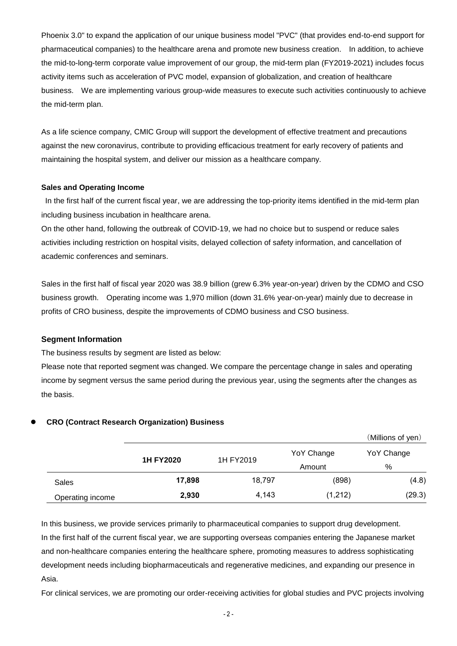Phoenix 3.0" to expand the application of our unique business model "PVC" (that provides end-to-end support for pharmaceutical companies) to the healthcare arena and promote new business creation. In addition, to achieve the mid-to-long-term corporate value improvement of our group, the mid-term plan (FY2019-2021) includes focus activity items such as acceleration of PVC model, expansion of globalization, and creation of healthcare business. We are implementing various group-wide measures to execute such activities continuously to achieve the mid-term plan.

As a life science company, CMIC Group will support the development of effective treatment and precautions against the new coronavirus, contribute to providing efficacious treatment for early recovery of patients and maintaining the hospital system, and deliver our mission as a healthcare company.

#### **Sales and Operating Income**

In the first half of the current fiscal year, we are addressing the top-priority items identified in the mid-term plan including business incubation in healthcare arena.

On the other hand, following the outbreak of COVID-19, we had no choice but to suspend or reduce sales activities including restriction on hospital visits, delayed collection of safety information, and cancellation of academic conferences and seminars.

Sales in the first half of fiscal year 2020 was 38.9 billion (grew 6.3% year-on-year) driven by the CDMO and CSO business growth. Operating income was 1,970 million (down 31.6% year-on-year) mainly due to decrease in profits of CRO business, despite the improvements of CDMO business and CSO business.

## **Segment Information**

The business results by segment are listed as below:

Please note that reported segment was changed. We compare the percentage change in sales and operating income by segment versus the same period during the previous year, using the segments after the changes as the basis.

|                  |                  |           |            | (Millions of yen) |
|------------------|------------------|-----------|------------|-------------------|
|                  | <b>1H FY2020</b> | 1H FY2019 | YoY Change | YoY Change        |
|                  |                  |           | Amount     | %                 |
| Sales            | 17,898           | 18,797    | (898)      | (4.8)             |
| Operating income | 2,930            | 4,143     | (1,212)    | (29.3)            |

#### **CRO (Contract Research Organization) Business**

In this business, we provide services primarily to pharmaceutical companies to support drug development. In the first half of the current fiscal year, we are supporting overseas companies entering the Japanese market and non-healthcare companies entering the healthcare sphere, promoting measures to address sophisticating development needs including biopharmaceuticals and regenerative medicines, and expanding our presence in Asia.

For clinical services, we are promoting our order-receiving activities for global studies and PVC projects involving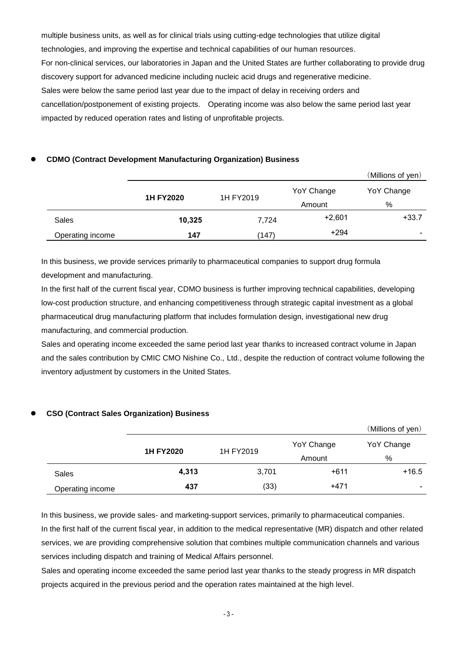multiple business units, as well as for clinical trials using cutting-edge technologies that utilize digital technologies, and improving the expertise and technical capabilities of our human resources. For non-clinical services, our laboratories in Japan and the United States are further collaborating to provide drug discovery support for advanced medicine including nucleic acid drugs and regenerative medicine. Sales were below the same period last year due to the impact of delay in receiving orders and cancellation/postponement of existing projects. Operating income was also below the same period last year impacted by reduced operation rates and listing of unprofitable projects.

## **CDMO (Contract Development Manufacturing Organization) Business**

|                  |                  |           |            | (Millions of yen) |
|------------------|------------------|-----------|------------|-------------------|
|                  | <b>1H FY2020</b> | 1H FY2019 | YoY Change | YoY Change        |
|                  |                  |           | Amount     | %                 |
| Sales            | 10,325           | 7,724     | $+2,601$   | $+33.7$           |
| Operating income | 147              | (147)     | $+294$     | ٠                 |

In this business, we provide services primarily to pharmaceutical companies to support drug formula development and manufacturing.

In the first half of the current fiscal year, CDMO business is further improving technical capabilities, developing low-cost production structure, and enhancing competitiveness through strategic capital investment as a global pharmaceutical drug manufacturing platform that includes formulation design, investigational new drug manufacturing, and commercial production.

Sales and operating income exceeded the same period last year thanks to increased contract volume in Japan and the sales contribution by CMIC CMO Nishine Co., Ltd., despite the reduction of contract volume following the inventory adjustment by customers in the United States.

## **CSO (Contract Sales Organization) Business**

|                  |                  |           |            | (Millions of yen)        |
|------------------|------------------|-----------|------------|--------------------------|
|                  | <b>1H FY2020</b> | 1H FY2019 | YoY Change | YoY Change               |
|                  |                  |           | Amount     | %                        |
| <b>Sales</b>     | 4,313            | 3,701     | $+611$     | $+16.5$                  |
| Operating income | 437              | (33)      | $+471$     | $\overline{\phantom{0}}$ |

In this business, we provide sales- and marketing-support services, primarily to pharmaceutical companies. In the first half of the current fiscal year, in addition to the medical representative (MR) dispatch and other related services, we are providing comprehensive solution that combines multiple communication channels and various services including dispatch and training of Medical Affairs personnel.

Sales and operating income exceeded the same period last year thanks to the steady progress in MR dispatch projects acquired in the previous period and the operation rates maintained at the high level.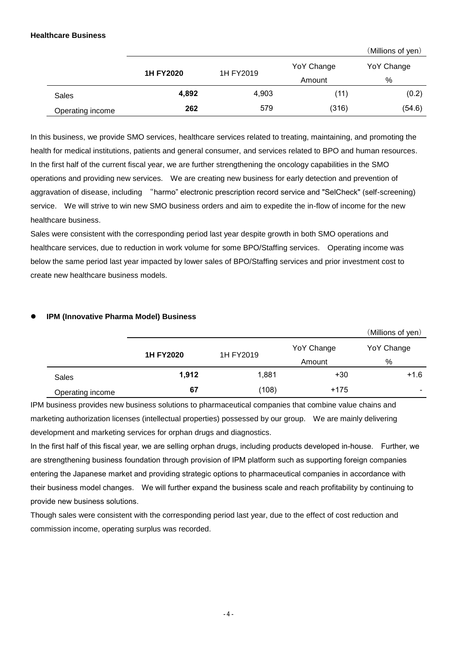## **Healthcare Business**

(Millions of yen)

|                  | <b>1H FY2020</b> | 1H FY2019 | YoY Change<br>Amount | YoY Change<br>% |
|------------------|------------------|-----------|----------------------|-----------------|
| Sales            | 4,892            | 4,903     | (11)                 | (0.2)           |
| Operating income | 262              | 579       | (316)                | (54.6)          |

In this business, we provide SMO services, healthcare services related to treating, maintaining, and promoting the health for medical institutions, patients and general consumer, and services related to BPO and human resources. In the first half of the current fiscal year, we are further strengthening the oncology capabilities in the SMO operations and providing new services. We are creating new business for early detection and prevention of aggravation of disease, including "harmo" electronic prescription record service and "SelCheck" (self-screening) service. We will strive to win new SMO business orders and aim to expedite the in-flow of income for the new healthcare business.

Sales were consistent with the corresponding period last year despite growth in both SMO operations and healthcare services, due to reduction in work volume for some BPO/Staffing services. Operating income was below the same period last year impacted by lower sales of BPO/Staffing services and prior investment cost to create new healthcare business models.

|                  |                  |           |            | (Millions of yen) |
|------------------|------------------|-----------|------------|-------------------|
|                  |                  |           | YoY Change | YoY Change        |
|                  | <b>1H FY2020</b> | 1H FY2019 | Amount     | %                 |
| <b>Sales</b>     | 1,912            | 1,881     | $+30$      | $+1.6$            |
| Operating income | 67               | (108)     | $+175$     |                   |

## **IPM (Innovative Pharma Model) Business**

IPM business provides new business solutions to pharmaceutical companies that combine value chains and marketing authorization licenses (intellectual properties) possessed by our group. We are mainly delivering development and marketing services for orphan drugs and diagnostics.

In the first half of this fiscal year, we are selling orphan drugs, including products developed in-house. Further, we are strengthening business foundation through provision of IPM platform such as supporting foreign companies entering the Japanese market and providing strategic options to pharmaceutical companies in accordance with their business model changes. We will further expand the business scale and reach profitability by continuing to provide new business solutions.

Though sales were consistent with the corresponding period last year, due to the effect of cost reduction and commission income, operating surplus was recorded.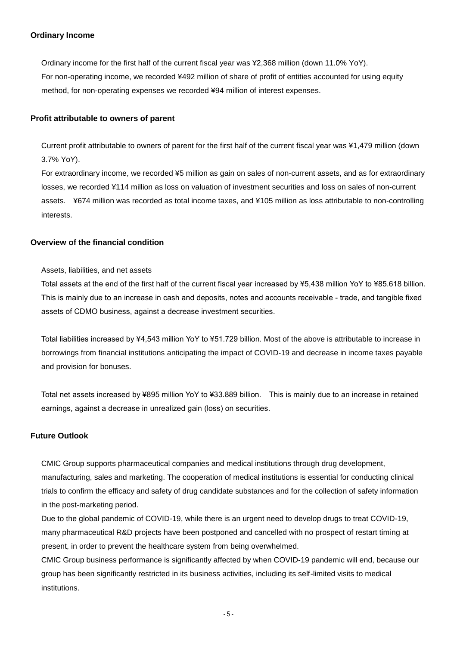## **Ordinary Income**

Ordinary income for the first half of the current fiscal year was ¥2,368 million (down 11.0% YoY). For non-operating income, we recorded ¥492 million of share of profit of entities accounted for using equity method, for non-operating expenses we recorded ¥94 million of interest expenses.

## **Profit attributable to owners of parent**

Current profit attributable to owners of parent for the first half of the current fiscal year was ¥1,479 million (down 3.7% YoY).

For extraordinary income, we recorded ¥5 million as gain on sales of non-current assets, and as for extraordinary losses, we recorded ¥114 million as loss on valuation of investment securities and loss on sales of non-current assets. ¥674 million was recorded as total income taxes, and ¥105 million as loss attributable to non-controlling interests.

## **Overview of the financial condition**

#### Assets, liabilities, and net assets

Total assets at the end of the first half of the current fiscal year increased by ¥5,438 million YoY to ¥85.618 billion. This is mainly due to an increase in cash and deposits, notes and accounts receivable - trade, and tangible fixed assets of CDMO business, against a decrease investment securities.

Total liabilities increased by ¥4,543 million YoY to ¥51.729 billion. Most of the above is attributable to increase in borrowings from financial institutions anticipating the impact of COVID-19 and decrease in income taxes payable and provision for bonuses.

Total net assets increased by ¥895 million YoY to ¥33.889 billion. This is mainly due to an increase in retained earnings, against a decrease in unrealized gain (loss) on securities.

## **Future Outlook**

CMIC Group supports pharmaceutical companies and medical institutions through drug development, manufacturing, sales and marketing. The cooperation of medical institutions is essential for conducting clinical trials to confirm the efficacy and safety of drug candidate substances and for the collection of safety information in the post-marketing period.

Due to the global pandemic of COVID-19, while there is an urgent need to develop drugs to treat COVID-19, many pharmaceutical R&D projects have been postponed and cancelled with no prospect of restart timing at present, in order to prevent the healthcare system from being overwhelmed.

CMIC Group business performance is significantly affected by when COVID-19 pandemic will end, because our group has been significantly restricted in its business activities, including its self-limited visits to medical institutions.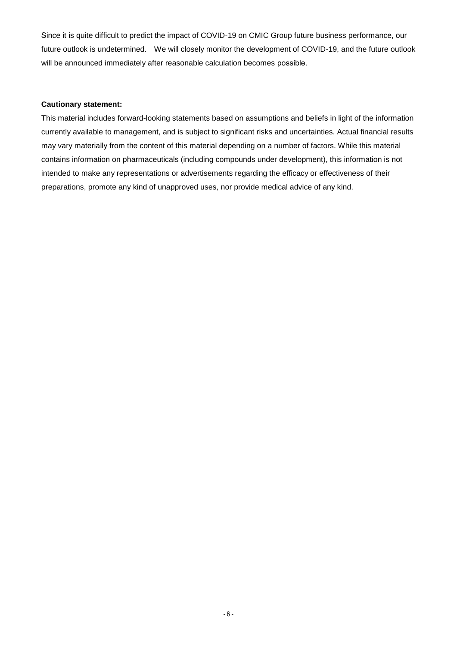Since it is quite difficult to predict the impact of COVID-19 on CMIC Group future business performance, our future outlook is undetermined. We will closely monitor the development of COVID-19, and the future outlook will be announced immediately after reasonable calculation becomes possible.

#### **Cautionary statement:**

This material includes forward-looking statements based on assumptions and beliefs in light of the information currently available to management, and is subject to significant risks and uncertainties. Actual financial results may vary materially from the content of this material depending on a number of factors. While this material contains information on pharmaceuticals (including compounds under development), this information is not intended to make any representations or advertisements regarding the efficacy or effectiveness of their preparations, promote any kind of unapproved uses, nor provide medical advice of any kind.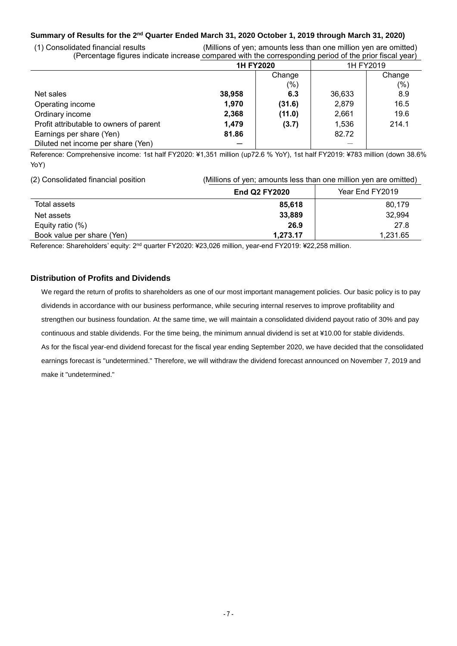## **Summary of Results for the 2 nd Quarter Ended March 31, 2020 October 1, 2019 through March 31, 2020)**

(1) Consolidated financial results (Millions of yen; amounts less than one million yen are omitted) (Percentage figures indicate increase compared with the corresponding period of the prior fiscal year)

|                                         | <b>1H FY2020</b> |        | 1H FY2019 |        |
|-----------------------------------------|------------------|--------|-----------|--------|
|                                         |                  | Change |           | Change |
|                                         |                  | $(\%)$ |           | (% )   |
| Net sales                               | 38,958           | 6.3    | 36,633    | 8.9    |
| Operating income                        | 1,970            | (31.6) | 2,879     | 16.5   |
| Ordinary income                         | 2,368            | (11.0) | 2,661     | 19.6   |
| Profit attributable to owners of parent | 1,479            | (3.7)  | 1,536     | 214.1  |
| Earnings per share (Yen)                | 81.86            |        | 82.72     |        |
| Diluted net income per share (Yen)      |                  |        |           |        |

Reference: Comprehensive income: 1st half FY2020: ¥1,351 million (up72.6 % YoY), 1st half FY2019: ¥783 million (down 38.6% YoY)

(2) Consolidated financial position (Millions of yen; amounts less than one million yen are omitted)

|                            | <b>End Q2 FY2020</b> | Year End FY2019 |
|----------------------------|----------------------|-----------------|
| Total assets               | 85,618               | 80,179          |
| Net assets                 | 33,889               | 32,994          |
| Equity ratio $(\%)$        | 26.9                 | 27.8            |
| Book value per share (Yen) | 1.273.17             | 1,231.65        |

Reference: Shareholders' equity: 2<sup>nd</sup> quarter FY2020: ¥23,026 million, year-end FY2019: ¥22,258 million.

#### **Distribution of Profits and Dividends**

We regard the return of profits to shareholders as one of our most important management policies. Our basic policy is to pay dividends in accordance with our business performance, while securing internal reserves to improve profitability and strengthen our business foundation. At the same time, we will maintain a consolidated dividend payout ratio of 30% and pay continuous and stable dividends. For the time being, the minimum annual dividend is set at ¥10.00 for stable dividends. As for the fiscal year-end dividend forecast for the fiscal year ending September 2020, we have decided that the consolidated earnings forecast is "undetermined." Therefore, we will withdraw the dividend forecast announced on November 7, 2019 and make it "undetermined."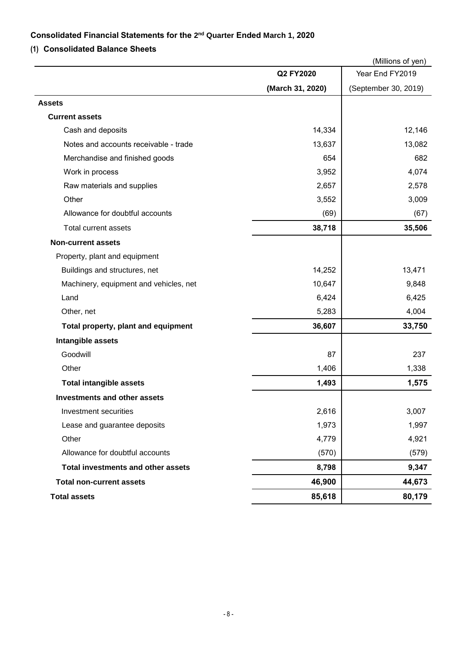## **Consolidated Financial Statements for the 2 nd Quarter Ended March 1, 2020**

# **(1) Consolidated Balance Sheets**

|                                           |                  | (Millions of yen)    |
|-------------------------------------------|------------------|----------------------|
|                                           | Q2 FY2020        | Year End FY2019      |
|                                           | (March 31, 2020) | (September 30, 2019) |
| Assets                                    |                  |                      |
| <b>Current assets</b>                     |                  |                      |
| Cash and deposits                         | 14,334           | 12,146               |
| Notes and accounts receivable - trade     | 13,637           | 13,082               |
| Merchandise and finished goods            | 654              | 682                  |
| Work in process                           | 3,952            | 4,074                |
| Raw materials and supplies                | 2,657            | 2,578                |
| Other                                     | 3,552            | 3,009                |
| Allowance for doubtful accounts           | (69)             | (67)                 |
| Total current assets                      | 38,718           | 35,506               |
| <b>Non-current assets</b>                 |                  |                      |
| Property, plant and equipment             |                  |                      |
| Buildings and structures, net             | 14,252           | 13,471               |
| Machinery, equipment and vehicles, net    | 10,647           | 9,848                |
| Land                                      | 6,424            | 6,425                |
| Other, net                                | 5,283            | 4,004                |
| Total property, plant and equipment       | 36,607           | 33,750               |
| Intangible assets                         |                  |                      |
| Goodwill                                  | 87               | 237                  |
| Other                                     | 1,406            | 1,338                |
| <b>Total intangible assets</b>            | 1,493            | 1,575                |
| Investments and other assets              |                  |                      |
| Investment securities                     | 2,616            | 3,007                |
| Lease and guarantee deposits              | 1,973            | 1,997                |
| Other                                     | 4,779            | 4,921                |
| Allowance for doubtful accounts           | (570)            | (579)                |
| <b>Total investments and other assets</b> | 8,798            | 9,347                |
| <b>Total non-current assets</b>           | 46,900           | 44,673               |
| <b>Total assets</b>                       | 85,618           | 80,179               |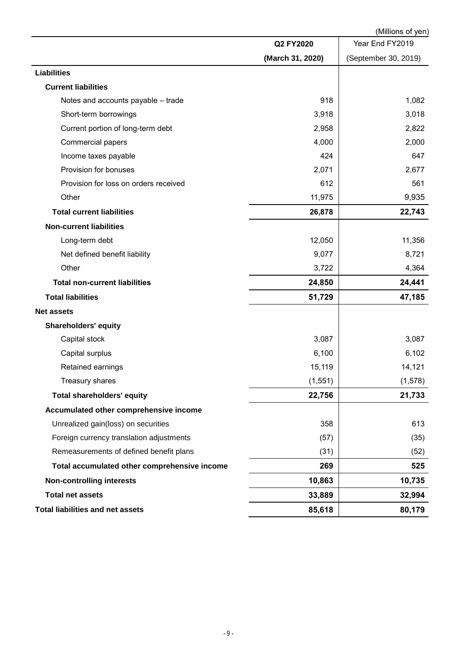|                                              |                  | (Millions of yen)    |
|----------------------------------------------|------------------|----------------------|
|                                              | Q2 FY2020        | Year End FY2019      |
|                                              | (March 31, 2020) | (September 30, 2019) |
| <b>Liabilities</b>                           |                  |                      |
| <b>Current liabilities</b>                   |                  |                      |
| Notes and accounts payable - trade           | 918              | 1,082                |
| Short-term borrowings                        | 3,918            | 3,018                |
| Current portion of long-term debt            | 2,958            | 2,822                |
| <b>Commercial papers</b>                     | 4,000            | 2,000                |
| Income taxes payable                         | 424              | 647                  |
| Provision for bonuses                        | 2,071            | 2,677                |
| Provision for loss on orders received        | 612              | 561                  |
| Other                                        | 11,975           | 9,935                |
| <b>Total current liabilities</b>             | 26,878           | 22,743               |
| <b>Non-current liabilities</b>               |                  |                      |
| Long-term debt                               | 12,050           | 11,356               |
| Net defined benefit liability                | 9,077            | 8,721                |
| Other                                        | 3,722            | 4,364                |
| <b>Total non-current liabilities</b>         | 24,850           | 24,441               |
| <b>Total liabilities</b>                     | 51,729           | 47,185               |
| <b>Net assets</b>                            |                  |                      |
| <b>Shareholders' equity</b>                  |                  |                      |
| Capital stock                                | 3,087            | 3,087                |
| Capital surplus                              | 6,100            | 6,102                |
| Retained earnings                            | 15,119           | 14,121               |
| Treasury shares                              | (1, 551)         | (1, 578)             |
| <b>Total shareholders' equity</b>            | 22,756           | 21,733               |
| Accumulated other comprehensive income       |                  |                      |
| Unrealized gain(loss) on securities          | 358              | 613                  |
| Foreign currency translation adjustments     | (57)             | (35)                 |
| Remeasurements of defined benefit plans      | (31)             | (52)                 |
| Total accumulated other comprehensive income | 269              | 525                  |
| <b>Non-controlling interests</b>             | 10,863           | 10,735               |
| <b>Total net assets</b>                      | 33,889           | 32,994               |
| <b>Total liabilities and net assets</b>      | 85,618           | 80,179               |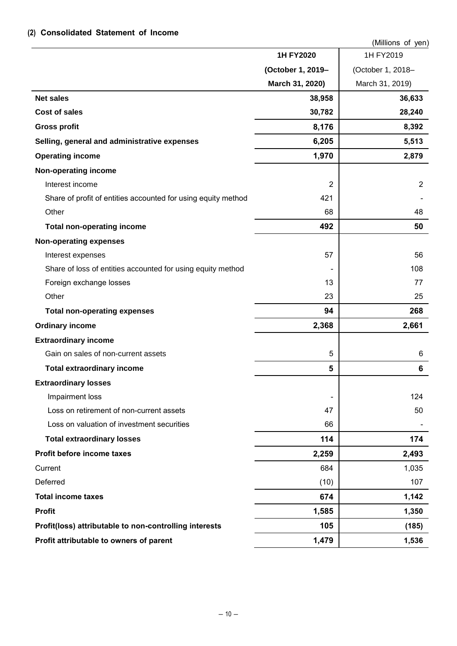# **(2) Consolidated Statement of Income**

|                                                               |                   | (Millions of yen) |
|---------------------------------------------------------------|-------------------|-------------------|
|                                                               | 1H FY2020         | 1H FY2019         |
|                                                               | (October 1, 2019- | (October 1, 2018- |
|                                                               | March 31, 2020)   | March 31, 2019)   |
| <b>Net sales</b>                                              | 38,958            | 36,633            |
| <b>Cost of sales</b>                                          | 30,782            | 28,240            |
| <b>Gross profit</b>                                           | 8,176             | 8,392             |
| Selling, general and administrative expenses                  | 6,205             | 5,513             |
| <b>Operating income</b>                                       | 1,970             | 2,879             |
| Non-operating income                                          |                   |                   |
| Interest income                                               | $\overline{2}$    | 2                 |
| Share of profit of entities accounted for using equity method | 421               |                   |
| Other                                                         | 68                | 48                |
| <b>Total non-operating income</b>                             | 492               | 50                |
| <b>Non-operating expenses</b>                                 |                   |                   |
| Interest expenses                                             | 57                | 56                |
| Share of loss of entities accounted for using equity method   |                   | 108               |
| Foreign exchange losses                                       | 13                | 77                |
| Other                                                         | 23                | 25                |
| <b>Total non-operating expenses</b>                           | 94                | 268               |
| <b>Ordinary income</b>                                        | 2,368             | 2,661             |
| <b>Extraordinary income</b>                                   |                   |                   |
| Gain on sales of non-current assets                           | 5                 | 6                 |
| <b>Total extraordinary income</b>                             | 5                 | 6                 |
| <b>Extraordinary losses</b>                                   |                   |                   |
| Impairment loss                                               |                   | 124               |
| Loss on retirement of non-current assets                      | 47                | 50                |
| Loss on valuation of investment securities                    | 66                |                   |
| <b>Total extraordinary losses</b>                             | 114               | 174               |
| Profit before income taxes                                    | 2,259             | 2,493             |
| Current                                                       | 684               | 1,035             |
| Deferred                                                      | (10)              | 107               |
| <b>Total income taxes</b>                                     | 674               | 1,142             |
| <b>Profit</b>                                                 | 1,585             | 1,350             |
| Profit(loss) attributable to non-controlling interests        | 105               | (185)             |
| Profit attributable to owners of parent                       | 1,479             | 1,536             |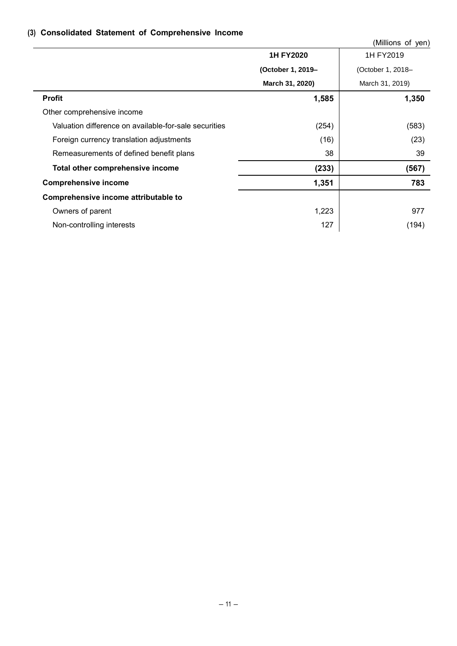# **(3) Consolidated Statement of Comprehensive Income**

|                                                       |                   | (Millions of yen) |
|-------------------------------------------------------|-------------------|-------------------|
|                                                       | 1H FY2020         | 1H FY2019         |
|                                                       | (October 1, 2019- | (October 1, 2018- |
|                                                       | March 31, 2020)   | March 31, 2019)   |
| <b>Profit</b>                                         | 1,585             | 1,350             |
| Other comprehensive income                            |                   |                   |
| Valuation difference on available-for-sale securities | (254)             | (583)             |
| Foreign currency translation adjustments              | (16)              | (23)              |
| Remeasurements of defined benefit plans               | 38                | 39                |
| Total other comprehensive income                      | (233)             | (567)             |
| <b>Comprehensive income</b>                           | 1,351             | 783               |
| Comprehensive income attributable to                  |                   |                   |
| Owners of parent                                      | 1,223             | 977               |
| Non-controlling interests                             | 127               | (194)             |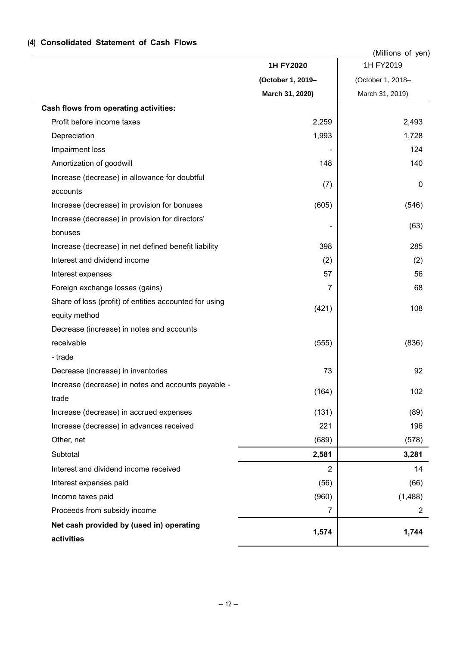## (Millions of yen) **1H FY2020** 1H FY2019 **(October 1, 2019– March 31, 2020)** (October 1, 2018– March 31, 2019) **Cash flows from operating activities:** Profit before income taxes 2,493 Depreciation 1,993 1,728 Impairment loss 124 Amortization of goodwill and the control of the control of the control of the control of the control of the control of the control of the control of the control of the control of the control of the control of the control o Increase (decrease) in allowance for doubtful accounts (7) 0 Increase (decrease) in provision for bonuses (605) (546) Increase (decrease) in provision for directors' bonuses  $(63)$ Increase (decrease) in net defined benefit liability 398 | 398 | 395 Interest and dividend income (2) (2) Interest expenses  $56$ Foreign exchange losses (gains) 68 Share of loss (profit) of entities accounted for using equity method  $(421)$  108 Decrease (increase) in notes and accounts receivable - trade (555) (836) Decrease (increase) in inventories **1998** 92 Increase (decrease) in notes and accounts payable trade  $(164)$  102 Increase (decrease) in accrued expenses (131) (89) Increase (decrease) in advances received 221 | 221 | 221 | 206 Other, net (689) (578) Subtotal **2,581 3,281** Interest and dividend income received  $\overline{2}$   $\overline{4}$   $\overline{4}$ Interest expenses paid (56) (66)  $Income taxes paid$  (960) (1,488) Proceeds from subsidy income 2 2 **Net cash provided by (used in) operating activities 1,574 1,744**

## **(4) Consolidated Statement of Cash Flows**